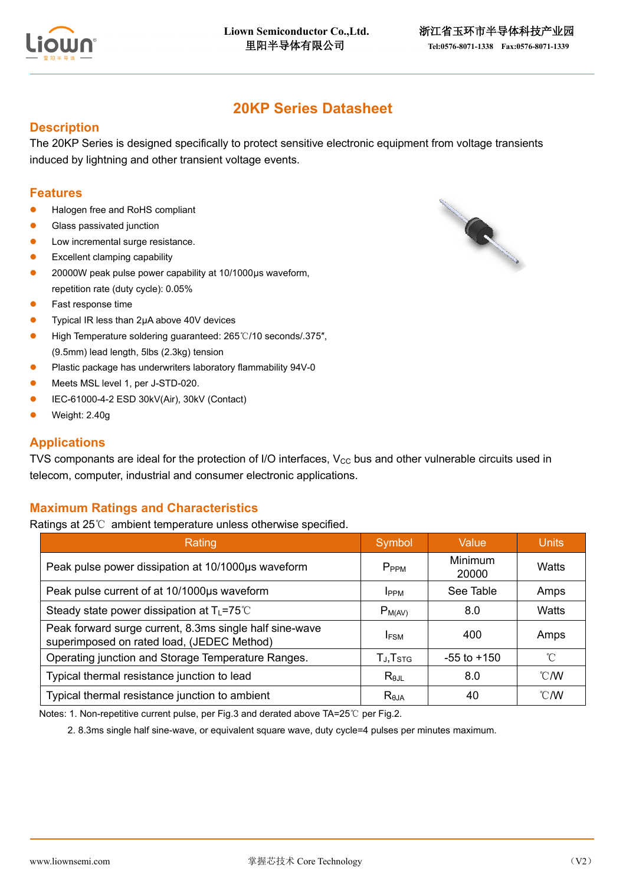

# **20KP Series Datasheet**

#### **Description**

The 20KP Series is designed specifically to protect sensitive electronic equipment from voltage transients induced by lightning and other transient voltage events.

#### **Features**

- ⚫ Halogen free and RoHS compliant
- Glass passivated junction
- Low incremental surge resistance.
- ⚫ Excellent clamping capability
- ⚫ 20000W peak pulse power capability at 10/1000μs waveform, repetition rate (duty cycle): 0.05%
- ⚫ Fast response time
- ⚫ Typical IR less than 2μA above 40V devices
- ⚫ High Temperature soldering guaranteed: 265℃/10 seconds/.375″, (9.5mm) lead length, 5lbs (2.3kg) tension
- Plastic package has underwriters laboratory flammability 94V-0
- ⚫ Meets MSL level 1, per J-STD-020.
- ⚫ IEC-61000-4-2 ESD 30kV(Air), 30kV (Contact)
- ⚫ Weight: 2.40g

#### **Applications**

TVS componants are ideal for the protection of I/O interfaces,  $V_{CC}$  bus and other vulnerable circuits used in telecom, computer, industrial and consumer electronic applications.

#### **Maximum Ratings and Characteristics**

Ratings at 25℃ ambient temperature unless otherwise specified.

| Rating                                                                                                | Symbol               | Value            | <b>Units</b>   |
|-------------------------------------------------------------------------------------------------------|----------------------|------------------|----------------|
| Peak pulse power dissipation at 10/1000µs waveform                                                    | P <sub>PPM</sub>     | Minimum<br>20000 | Watts          |
| Peak pulse current of at 10/1000µs waveform                                                           | <b>IPPM</b>          | See Table        | Amps           |
| Steady state power dissipation at $T_L$ =75°C                                                         | $P_{M(AV)}$          | 8.0              | Watts          |
| Peak forward surge current, 8.3ms single half sine-wave<br>superimposed on rated load, (JEDEC Method) | <b>IFSM</b>          | 400              | Amps           |
| Operating junction and Storage Temperature Ranges.                                                    | TJ, T <sub>STG</sub> | $-55$ to $+150$  | °C             |
| Typical thermal resistance junction to lead                                                           | $R_{\theta$ JL       | 8.0              | $^{\circ}$ C/W |
| Typical thermal resistance junction to ambient                                                        | $R_{\theta$ JA       | 40               | $^{\circ}$ C/W |

Notes: 1. Non-repetitive current pulse, per Fig.3 and derated above TA=25℃ per Fig.2.

2. 8.3ms single half sine-wave, or equivalent square wave, duty cycle=4 pulses per minutes maximum.

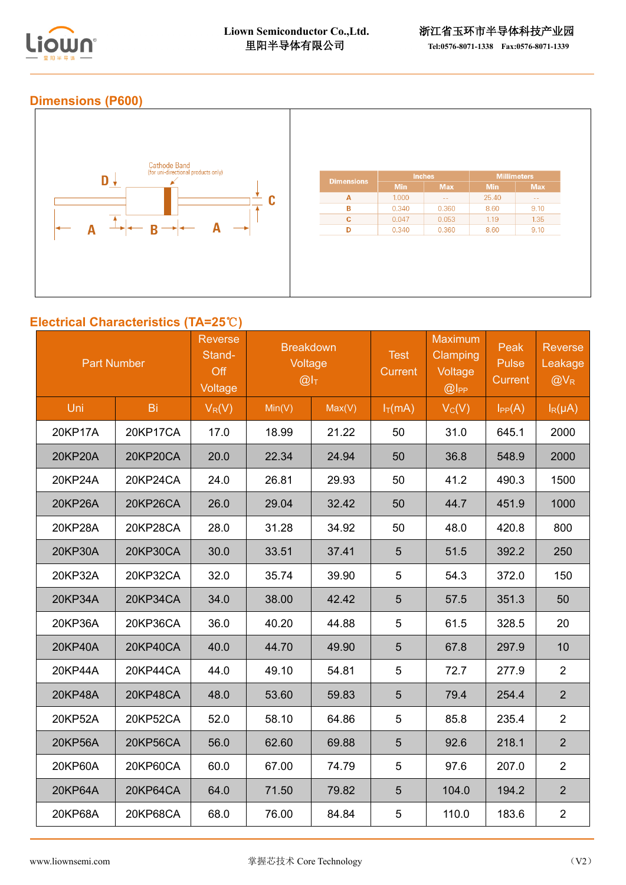

## **Dimensions (P600)**



## **Electrical Characteristics (TA=25**℃**)**

| <b>Part Number</b> |                 | <b>Reverse</b><br>Stand-<br>Off<br>Voltage | <b>Breakdown</b><br>Voltage<br>@I <sub>T</sub> |        | <b>Test</b><br>Current | Maximum<br>Clamping<br>Voltage<br>$@$ $ $ PP | Peak<br>Pulse<br><b>Current</b> | <b>Reverse</b><br>Leakage<br>$@V_R$ |
|--------------------|-----------------|--------------------------------------------|------------------------------------------------|--------|------------------------|----------------------------------------------|---------------------------------|-------------------------------------|
| Uni                | Bi              | $V_R(V)$                                   | Min(V)                                         | Max(V) | $I_T(mA)$              | $V_C(V)$                                     | $I_{PP}(A)$                     | $I_R(\mu A)$                        |
| 20KP17A            | 20KP17CA        | 17.0                                       | 18.99                                          | 21.22  | 50                     | 31.0                                         | 645.1                           | 2000                                |
| 20KP20A            | <b>20KP20CA</b> | 20.0                                       | 22.34                                          | 24.94  | 50                     | 36.8                                         | 548.9                           | 2000                                |
| 20KP24A            | 20KP24CA        | 24.0                                       | 26.81                                          | 29.93  | 50                     | 41.2                                         | 490.3                           | 1500                                |
| 20KP26A            | <b>20KP26CA</b> | 26.0                                       | 29.04                                          | 32.42  | 50                     | 44.7                                         | 451.9                           | 1000                                |
| 20KP28A            | 20KP28CA        | 28.0                                       | 31.28                                          | 34.92  | 50                     | 48.0                                         | 420.8                           | 800                                 |
| 20KP30A            | <b>20KP30CA</b> | 30.0                                       | 33.51                                          | 37.41  | 5                      | 51.5                                         | 392.2                           | 250                                 |
| 20KP32A            | 20KP32CA        | 32.0                                       | 35.74                                          | 39.90  | 5                      | 54.3                                         | 372.0                           | 150                                 |
| 20KP34A            | 20KP34CA        | 34.0                                       | 38.00                                          | 42.42  | 5                      | 57.5                                         | 351.3                           | 50                                  |
| 20KP36A            | 20KP36CA        | 36.0                                       | 40.20                                          | 44.88  | 5                      | 61.5                                         | 328.5                           | 20                                  |
| 20KP40A            | <b>20KP40CA</b> | 40.0                                       | 44.70                                          | 49.90  | 5                      | 67.8                                         | 297.9                           | 10                                  |
| 20KP44A            | 20KP44CA        | 44.0                                       | 49.10                                          | 54.81  | 5                      | 72.7                                         | 277.9                           | $\overline{2}$                      |
| 20KP48A            | <b>20KP48CA</b> | 48.0                                       | 53.60                                          | 59.83  | 5                      | 79.4                                         | 254.4                           | $\overline{2}$                      |
| 20KP52A            | 20KP52CA        | 52.0                                       | 58.10                                          | 64.86  | 5                      | 85.8                                         | 235.4                           | $\overline{2}$                      |
| 20KP56A            | 20KP56CA        | 56.0                                       | 62.60                                          | 69.88  | 5                      | 92.6                                         | 218.1                           | 2 <sup>1</sup>                      |
| 20KP60A            | 20KP60CA        | 60.0                                       | 67.00                                          | 74.79  | 5                      | 97.6                                         | 207.0                           | $\overline{2}$                      |
| 20KP64A            | 20KP64CA        | 64.0                                       | 71.50                                          | 79.82  | 5                      | 104.0                                        | 194.2                           | $\overline{2}$                      |
| 20KP68A            | 20KP68CA        | 68.0                                       | 76.00                                          | 84.84  | 5                      | 110.0                                        | 183.6                           | $\overline{2}$                      |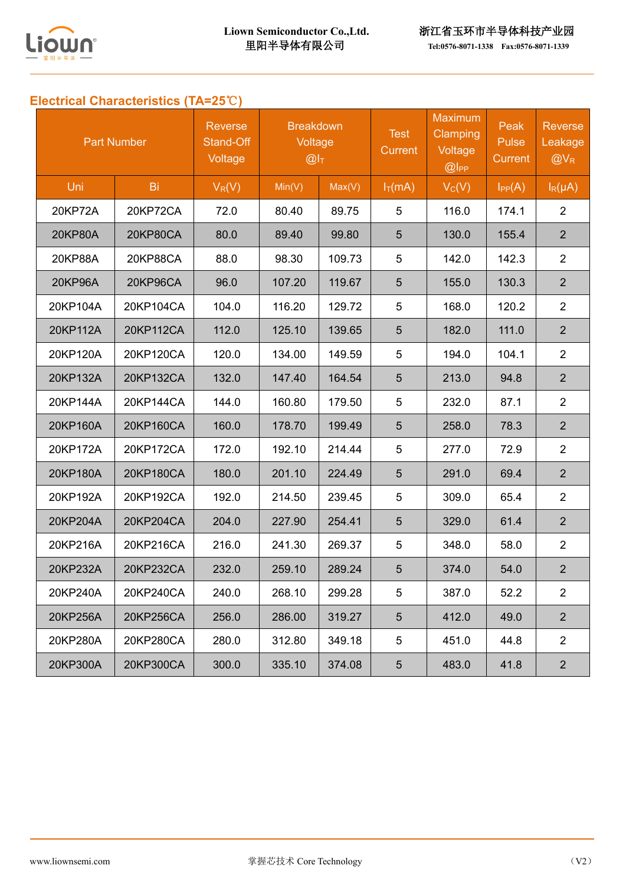

# **Electrical Characteristics (TA=25**℃**)**

| <b>Part Number</b> |                 | <b>Reverse</b><br>Stand-Off<br>Voltage | <b>Breakdown</b><br>Voltage<br>@I <sub>T</sub> |        | <b>Test</b><br>Current | <b>Maximum</b><br>Clamping<br>Voltage<br>$@$ $ $ PP | Peak<br>Pulse<br><b>Current</b> | <b>Reverse</b><br>Leakage<br>$@V_{R}$ |
|--------------------|-----------------|----------------------------------------|------------------------------------------------|--------|------------------------|-----------------------------------------------------|---------------------------------|---------------------------------------|
| Uni                | Bi              | $V_R(V)$                               | Min(V)                                         | Max(V) | $I_T(mA)$              | $V_C(V)$                                            | $I_{PP}(A)$                     | $I_R(\mu A)$                          |
| 20KP72A            | 20KP72CA        | 72.0                                   | 80.40                                          | 89.75  | 5                      | 116.0                                               | 174.1                           | $\overline{2}$                        |
| <b>20KP80A</b>     | <b>20KP80CA</b> | 80.0                                   | 89.40                                          | 99.80  | 5                      | 130.0                                               | 155.4                           | $\overline{2}$                        |
| 20KP88A            | 20KP88CA        | 88.0                                   | 98.30                                          | 109.73 | 5                      | 142.0                                               | 142.3                           | $\overline{2}$                        |
| 20KP96A            | 20KP96CA        | 96.0                                   | 107.20                                         | 119.67 | 5                      | 155.0                                               | 130.3                           | $\overline{2}$                        |
| 20KP104A           | 20KP104CA       | 104.0                                  | 116.20                                         | 129.72 | 5                      | 168.0                                               | 120.2                           | $\overline{2}$                        |
| 20KP112A           | 20KP112CA       | 112.0                                  | 125.10                                         | 139.65 | 5                      | 182.0                                               | 111.0                           | $\overline{2}$                        |
| 20KP120A           | 20KP120CA       | 120.0                                  | 134.00                                         | 149.59 | 5                      | 194.0                                               | 104.1                           | $\overline{2}$                        |
| 20KP132A           | 20KP132CA       | 132.0                                  | 147.40                                         | 164.54 | 5                      | 213.0                                               | 94.8                            | $\overline{2}$                        |
| 20KP144A           | 20KP144CA       | 144.0                                  | 160.80                                         | 179.50 | 5                      | 232.0                                               | 87.1                            | $\overline{2}$                        |
| 20KP160A           | 20KP160CA       | 160.0                                  | 178.70                                         | 199.49 | 5                      | 258.0                                               | 78.3                            | $\overline{2}$                        |
| 20KP172A           | 20KP172CA       | 172.0                                  | 192.10                                         | 214.44 | 5                      | 277.0                                               | 72.9                            | $\overline{2}$                        |
| 20KP180A           | 20KP180CA       | 180.0                                  | 201.10                                         | 224.49 | 5                      | 291.0                                               | 69.4                            | $\overline{2}$                        |
| 20KP192A           | 20KP192CA       | 192.0                                  | 214.50                                         | 239.45 | 5                      | 309.0                                               | 65.4                            | $\overline{2}$                        |
| 20KP204A           | 20KP204CA       | 204.0                                  | 227.90                                         | 254.41 | 5                      | 329.0                                               | 61.4                            | $\overline{2}$                        |
| 20KP216A           | 20KP216CA       | 216.0                                  | 241.30                                         | 269.37 | 5                      | 348.0                                               | 58.0                            | $\overline{2}$                        |
| 20KP232A           | 20KP232CA       | 232.0                                  | 259.10                                         | 289.24 | 5                      | 374.0                                               | 54.0                            | $\overline{2}$                        |
| 20KP240A           | 20KP240CA       | 240.0                                  | 268.10                                         | 299.28 | 5                      | 387.0                                               | 52.2                            | $\overline{c}$                        |
| 20KP256A           | 20KP256CA       | 256.0                                  | 286.00                                         | 319.27 | $5\phantom{.0}$        | 412.0                                               | 49.0                            | 2 <sup>1</sup>                        |
| 20KP280A           | 20KP280CA       | 280.0                                  | 312.80                                         | 349.18 | 5                      | 451.0                                               | 44.8                            | $\overline{2}$                        |
| 20KP300A           | 20KP300CA       | 300.0                                  | 335.10                                         | 374.08 | $5\phantom{.0}$        | 483.0                                               | 41.8                            | $\overline{2}$                        |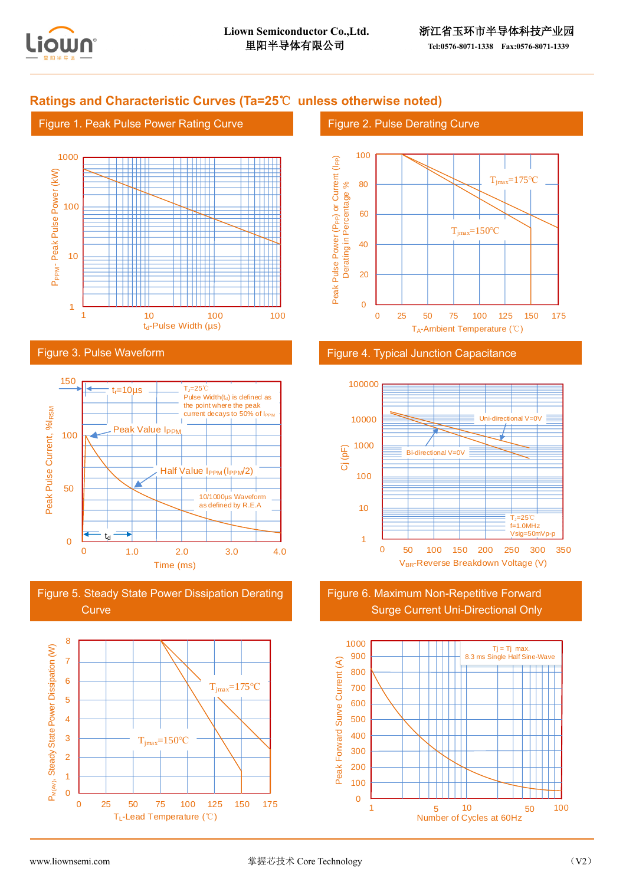

## **Ratings and Characteristic Curves (Ta=25**℃ **unless otherwise noted)**

#### Figure 1. Peak Pulse Power Rating Curve



#### Figure 3. Pulse Waveform







#### Figure 2. Pulse Derating Curve







Figure 6. Maximum Non-Repetitive Forward Surge Current Uni-Directional Only

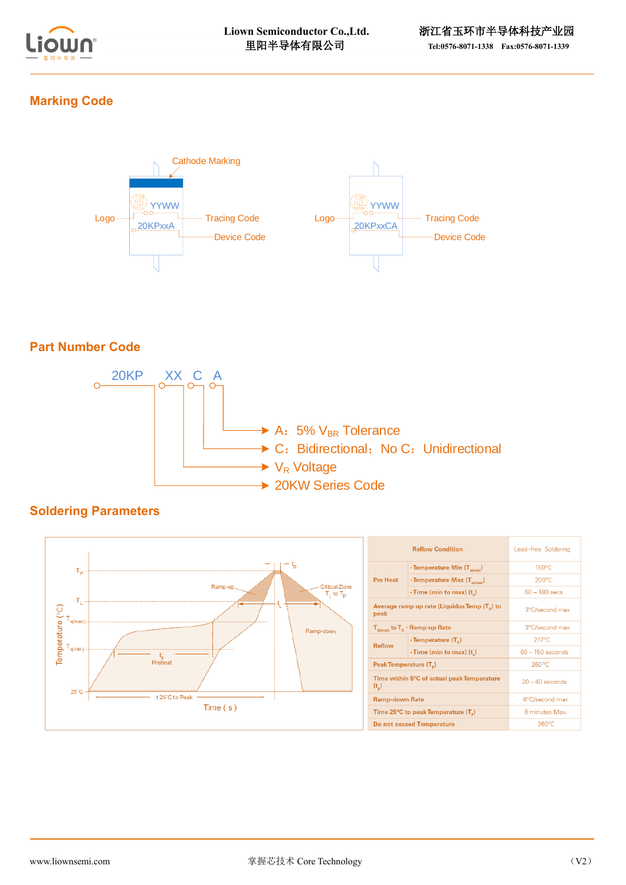

## **Marking Code**



## **Part Number Code**



## **Soldering Parameters**